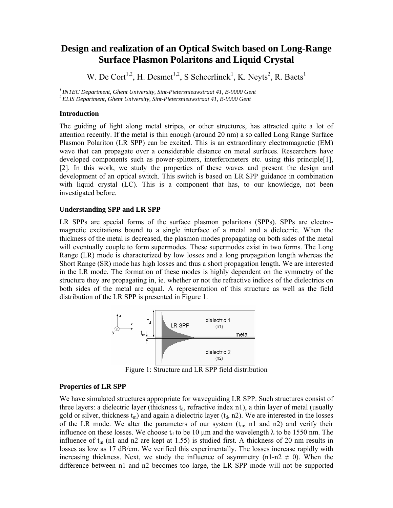# **Design and realization of an Optical Switch based on Long-Range Surface Plasmon Polaritons and Liquid Crystal**

W. De Cort<sup>1,2</sup>, H. Desmet<sup>1,2</sup>, S Scheerlinck<sup>1</sup>, K. Neyts<sup>2</sup>, R. Baets<sup>1</sup>

*1 INTEC Department, Ghent University, Sint-Pietersnieuwstraat 41, B-9000 Gent 2 ELIS Department, Ghent University, Sint-Pietersnieuwstraat 41, B-9000 Gent* 

### **Introduction**

The guiding of light along metal stripes, or other structures, has attracted quite a lot of attention recently. If the metal is thin enough (around 20 nm) a so called Long Range Surface Plasmon Polariton (LR SPP) can be excited. This is an extraordinary electromagnetic (EM) wave that can propagate over a considerable distance on metal surfaces. Researchers have developed components such as power-splitters, interferometers etc. using this principle[1], [2]. In this work, we study the properties of these waves and present the design and development of an optical switch. This switch is based on LR SPP guidance in combination with liquid crystal (LC). This is a component that has, to our knowledge, not been investigated before.

### **Understanding SPP and LR SPP**

LR SPPs are special forms of the surface plasmon polaritons (SPPs). SPPs are electromagnetic excitations bound to a single interface of a metal and a dielectric. When the thickness of the metal is decreased, the plasmon modes propagating on both sides of the metal will eventually couple to form supermodes. These supermodes exist in two forms. The Long Range (LR) mode is characterized by low losses and a long propagation length whereas the Short Range (SR) mode has high losses and thus a short propagation length. We are interested in the LR mode. The formation of these modes is highly dependent on the symmetry of the structure they are propagating in, ie. whether or not the refractive indices of the dielectrics on both sides of the metal are equal. A representation of this structure as well as the field distribution of the LR SPP is presented in Figure 1.



Figure 1: Structure and LR SPP field distribution

## **Properties of LR SPP**

We have simulated structures appropriate for waveguiding LR SPP. Such structures consist of three layers: a dielectric layer (thickness  $t<sub>d</sub>$ , refractive index n1), a thin layer of metal (usually gold or silver, thickness  $t_m$ ) and again a dielectric layer ( $t_d$ , n2). We are interested in the losses of the LR mode. We alter the parameters of our system  $(t<sub>m</sub>, n1$  and n2) and verify their influence on these losses. We choose  $t_d$  to be 10  $\mu$ m and the wavelength  $\lambda$  to be 1550 nm. The influence of  $t_m$  (n1 and n2 are kept at 1.55) is studied first. A thickness of 20 nm results in losses as low as 17 dB/cm. We verified this experimentally. The losses increase rapidly with increasing thickness. Next, we study the influence of asymmetry (n1-n2  $\neq$  0). When the difference between n1 and n2 becomes too large, the LR SPP mode will not be supported